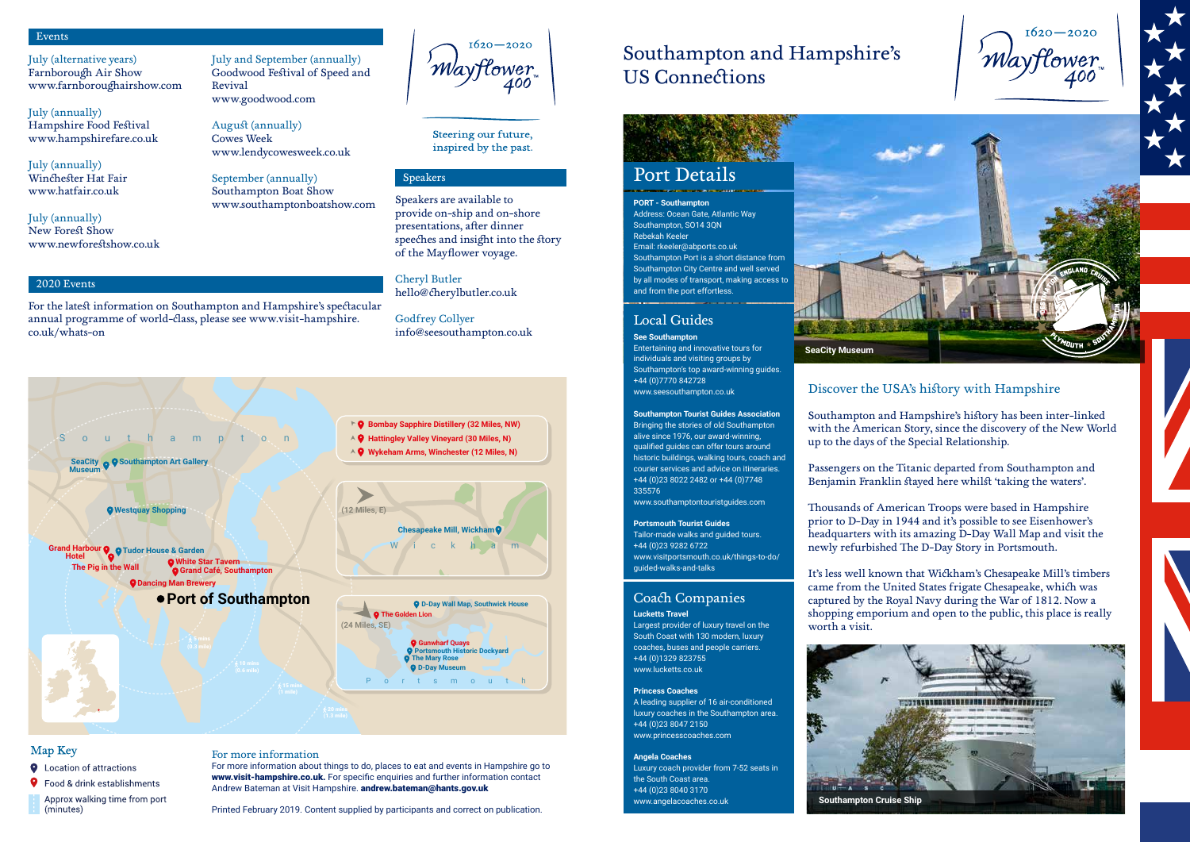# Port Details

# Southampton and Hampshire's US Connections

#### Coach Companies **Lucketts Travel**

Largest provider of luxury travel on the South Coast with 130 modern, luxury coaches, buses and people carriers. +44 (0)1329 823755 www.lucketts.co.uk

#### **Princess Coaches**

A leading supplier of 16 air-conditioned luxury coaches in the Southampton area. +44 (0)23 8047 2150 www.princesscoaches.com

#### **Angela Coaches**

Luxury coach provider from 7-52 seats in the South Coast area. +44 (0)23 8040 3170 www.angelacoaches.co.uk

**PORT - Southampton**  Address: Ocean Gate, Atlantic Way Southampton, SO14 3QN Rebekah Keeler Email: rkeeler@abports.co.uk Southampton Port is a short distance from Southampton City Centre and well served by all modes of transport, making access to and from the port effortless.

#### Events

2020 Events

#### Speakers

For more information about things to do, places to eat and events in Hampshire go to www.visit-hampshire.co.uk. For specific enquiries and further information contact Andrew Bateman at Visit Hampshire. andrew.bateman@hants.gov.uk

July (alternative years) Farnborough Air Show www.farnboroughairshow.com

July (annually) Hampshire Food Festival www.hampshirefare.co.uk

July (annually) Winchester Hat Fair www.hatfair.co.uk

July (annually) New Forest Show www.newforestshow.co.uk July and September (annually) Goodwood Festival of Speed and Revival www.goodwood.com

August (annually) Cowes Week www.lendycowesweek.co.uk

September (annually) Southampton Boat Show www.southamptonboatshow.com

 $1620 - 2020$ 'Maytlower 400

Steering our future, inspired by the past.

For the latest information on Southampton and Hampshire's spectacular annual programme of world-class, please see www.visit-hampshire.

co.uk/whats-on

Speakers are available to provide on-ship and on-shore presentations, after dinner speeches and insight into the story of the Mayflower voyage.

Cheryl Butler hello@cherylbutler.co.uk

Godfrey Collyer info@seesouthampton.co.uk

#### For more information

Printed February 2019. Content supplied by participants and correct on publication.



### Map Key

- **Q** Location of attractions
- **9** Food & drink establishments
- Approx walking time from port (minutes)

### Discover the USA's history with Hampshire

Southampton and Hampshire's history has been inter-linked with the American Story, since the discovery of the New World up to the days of the Special Relationship.

Passengers on the Titanic departed from Southampton and Benjamin Franklin stayed here whilst 'taking the waters'.

Thousands of American Troops were based in Hampshire prior to D-Day in 1944 and it's possible to see Eisenhower's headquarters with its amazing D-Day Wall Map and visit the newly refurbished The D-Day Story in Portsmouth.

It's less well known that Wickham's Chesapeake Mill's timbers came from the United States frigate Chesapeake, which was captured by the Royal Navy during the War of 1812. Now a shopping emporium and open to the public, this place is really





worth a visit.



**Southampton Cruise Ship**

 $1620 - 2020$ 'Mayflower 400



### Local Guides

**See Southampton** Entertaining and innovative tours for individuals and visiting groups by Southampton's top award-winning guides. +44 (0)7770 842728 www.seesouthampton.co.uk

#### **Southampton Tourist Guides Association**  Bringing the stories of old Southampton alive since 1976, our award-winning,

qualified guides can offer tours around historic buildings, walking tours, coach and courier services and advice on itineraries. +44 (0)23 8022 2482 or +44 (0)7748 335576

www.southamptontouristguides.com

#### **Portsmouth Tourist Guides**

Tailor-made walks and guided tours. +44 (0)23 9282 6722 www.visitportsmouth.co.uk/things-to-do/ guided-walks-and-talks